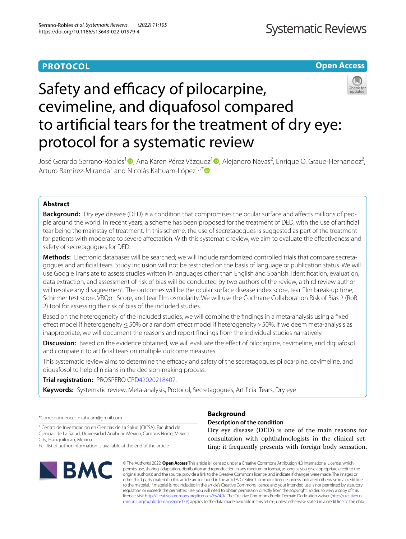# **PROTOCOL**

**Open Access**

# Safety and efficacy of pilocarpine, cevimeline, and diquafosol compared to artifcial tears for the treatment of dry eye: protocol for a systematic review



José Gerardo Serrano-Robles<sup>[1](http://orcid.org/0000-0002-8138-678X)</sup>®, Ana Karen Pérez Vázquez<sup>1</sup>®, Alejandro Navas<sup>2</sup>, Enrique O. Graue-Hernandez<sup>2</sup>, Arturo Ramirez-Miranda<sup>2</sup> and Nicolás Kahuam-López<sup>1,2\*</sup>

## **Abstract**

**Background:** Dry eye disease (DED) is a condition that compromises the ocular surface and affects millions of people around the world. In recent years, a scheme has been proposed for the treatment of DED, with the use of artifcial tear being the mainstay of treatment. In this scheme, the use of secretagogues is suggested as part of the treatment for patients with moderate to severe afectation. With this systematic review, we aim to evaluate the efectiveness and safety of secretagogues for DED.

**Methods:** Electronic databases will be searched; we will include randomized controlled trials that compare secreta‑ gogues and artifcial tears. Study inclusion will not be restricted on the basis of language or publication status. We will use Google Translate to assess studies written in languages other than English and Spanish. Identifcation, evaluation, data extraction, and assessment of risk of bias will be conducted by two authors of the review, a third review author will resolve any disagreement. The outcomes will be the ocular surface disease index score, tear flm break-up time, Schirmer test score, VRQoL Score, and tear flm osmolarity. We will use the Cochrane Collaboration Risk of Bias 2 (RoB 2) tool for assessing the risk of bias of the included studies.

Based on the heterogeneity of the included studies, we will combine the fndings in a meta-analysis using a fxed effect model if heterogeneity <50% or a random effect model if heterogeneity >50%. If we deem meta-analysis as inappropriate, we will document the reasons and report fndings from the individual studies narratively.

**Discussion:** Based on the evidence obtained, we will evaluate the effect of pilocarpine, cevimeline, and diquafosol and compare it to artifcial tears on multiple outcome measures.

This systematic review aims to determine the efficacy and safety of the secretagogues pilocarpine, cevimeline, and diquafosol to help clinicians in the decision-making process.

**Trial registration:** PROSPERO [CRD42020218407.](https://www.crd.york.ac.uk/prospero/display_record.php?ID=CRD42020218407)

**Keywords:** Systematic review, Meta-analysis, Protocol, Secretagogues, Artifcial Tears, Dry eye

\*Correspondence: nkahuam@gmail.com

<sup>1</sup> Centro de Investigación en Ciencias de La Salud (CICSA), Facultad de Ciencias de La Salud, Universidad Anáhuac México, Campus Norte, Mexico City, Huixquilucan, Mexico

Full list of author information is available at the end of the article



## **Background**

**Description of the condition**

Dry eye disease (DED) is one of the main reasons for consultation with ophthalmologists in the clinical setting; it frequently presents with foreign body sensation,

© The Author(s) 2022. **Open Access** This article is licensed under a Creative Commons Attribution 4.0 International License, which permits use, sharing, adaptation, distribution and reproduction in any medium or format, as long as you give appropriate credit to the original author(s) and the source, provide a link to the Creative Commons licence, and indicate if changes were made. The images or other third party material in this article are included in the article's Creative Commons licence, unless indicated otherwise in a credit line to the material. If material is not included in the article's Creative Commons licence and your intended use is not permitted by statutory regulation or exceeds the permitted use, you will need to obtain permission directly from the copyright holder. To view a copy of this licence, visit [http://creativecommons.org/licenses/by/4.0/.](http://creativecommons.org/licenses/by/4.0/) The Creative Commons Public Domain Dedication waiver ([http://creativeco](http://creativecommons.org/publicdomain/zero/1.0/) [mmons.org/publicdomain/zero/1.0/](http://creativecommons.org/publicdomain/zero/1.0/)) applies to the data made available in this article, unless otherwise stated in a credit line to the data.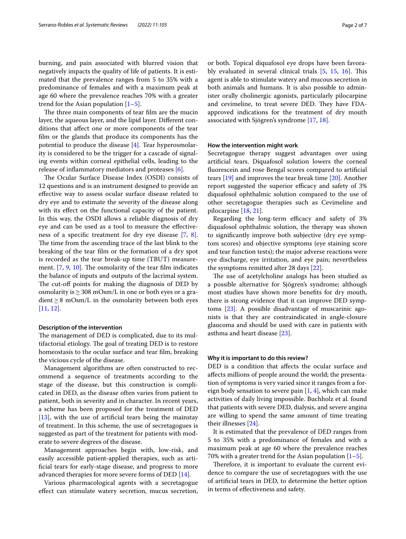burning, and pain associated with blurred vision that negatively impacts the quality of life of patients. It is estimated that the prevalence ranges from 5 to 35% with a predominance of females and with a maximum peak at age 60 where the prevalence reaches 70% with a greater trend for the Asian population  $[1–5]$  $[1–5]$  $[1–5]$ .

The three main components of tear film are the mucin layer, the aqueous layer, and the lipid layer. Diferent conditions that afect one or more components of the tear flm or the glands that produce its components has the potential to produce the disease [[4\]](#page-6-2). Tear hyperosmolarity is considered to be the trigger for a cascade of signaling events within corneal epithelial cells, leading to the release of infammatory mediators and proteases [\[6](#page-6-3)].

The Ocular Surface Disease Index (OSDI) consists of 12 questions and is an instrument designed to provide an efective way to assess ocular surface disease related to dry eye and to estimate the severity of the disease along with its efect on the functional capacity of the patient. In this way, the OSDI allows a reliable diagnosis of dry eye and can be used as a tool to measure the efectiveness of a specifc treatment for dry eye disease [[7,](#page-6-4) [8](#page-6-5)]. The time from the ascending trace of the last blink to the breaking of the tear flm or the formation of a dry spot is recorded as the tear break-up time (TBUT) measurement.  $[7, 9, 10]$  $[7, 9, 10]$  $[7, 9, 10]$  $[7, 9, 10]$  $[7, 9, 10]$  $[7, 9, 10]$ . The osmolarity of the tear film indicates the balance of inputs and outputs of the lacrimal system. The cut-off points for making the diagnosis of DED by osmolarity is  $\geq$  308 mOsm/L in one or both eyes or a gradient≥8 mOsm/L in the osmolarity between both eyes [[11,](#page-6-8) [12](#page-6-9)].

#### **Description of the intervention**

The management of DED is complicated, due to its multifactorial etiology. The goal of treating DED is to restore homeostasis to the ocular surface and tear flm, breaking the vicious cycle of the disease.

Management algorithms are often constructed to recommend a sequence of treatments according to the stage of the disease, but this construction is complicated in DED, as the disease often varies from patient to patient, both in severity and in character. In recent years, a scheme has been proposed for the treatment of DED [[13\]](#page-6-10), with the use of artifcial tears being the mainstay of treatment. In this scheme, the use of secretagogues is suggested as part of the treatment for patients with moderate to severe degrees of the disease.

Management approaches begin with, low-risk, and easily accessible patient-applied therapies, such as artifcial tears for early-stage disease, and progress to more advanced therapies for more severe forms of DED [\[14](#page-6-11)].

Various pharmacological agents with a secretagogue efect can stimulate watery secretion, mucus secretion,

or both. Topical diquafosol eye drops have been favorably evaluated in several clinical trials  $[5, 15, 16]$  $[5, 15, 16]$  $[5, 15, 16]$  $[5, 15, 16]$  $[5, 15, 16]$  $[5, 15, 16]$  $[5, 15, 16]$ . This agent is able to stimulate watery and mucous secretion in both animals and humans. It is also possible to administer orally cholinergic agonists, particularly pilocarpine and cevimeline, to treat severe DED. They have FDAapproved indications for the treatment of dry mouth associated with Sjögren's syndrome [\[17,](#page-6-14) [18](#page-6-15)].

#### **How the intervention might work**

Secretagogue therapy suggest advantages over using artifcial tears. Diquafosol solution lowers the corneal fuorescein and rose Bengal scores compared to artifcial tears [\[19\]](#page-6-16) and improves the tear break time [[20](#page-6-17)]. Another report suggested the superior efficacy and safety of 3% diquafosol ophthalmic solution compared to the use of other secretagogue therapies such as Cevimeline and pilocarpine [[18](#page-6-15), [21\]](#page-6-18).

Regarding the long-term efficacy and safety of 3% diquafosol ophthalmic solution, the therapy was shown to signifcantly improve both subjective (dry eye symptom scores) and objective symptoms (eye staining score and tear function tests); the major adverse reactions were eye discharge, eye irritation, and eye pain; nevertheless the symptoms remitted after 28 days [\[22\]](#page-6-19).

The use of acetylcholine analogs has been studied as a possible alternative for Sjögren's syndrome; although most studies have shown more benefts for dry mouth, there is strong evidence that it can improve DED symptoms [[23\]](#page-6-20). A possible disadvantage of muscarinic agonists is that they are contraindicated in angle-closure glaucoma and should be used with care in patients with asthma and heart disease [[23\]](#page-6-20).

#### **Why it is important to do this review?**

DED is a condition that afects the ocular surface and afects millions of people around the world; the presentation of symptoms is very varied since it ranges from a foreign body sensation to severe pain  $[1, 4]$  $[1, 4]$  $[1, 4]$ , which can make activities of daily living impossible. Buchholz et al. found that patients with severe DED, dialysis, and severe angina are willing to spend the same amount of time treating their illnesses [[24](#page-6-21)].

It is estimated that the prevalence of DED ranges from 5 to 35% with a predominance of females and with a maximum peak at age 60 where the prevalence reaches 70% with a greater trend for the Asian population  $[1-5]$  $[1-5]$ .

Therefore, it is important to evaluate the current evidence to compare the use of secretagogues with the use of artifcial tears in DED, to determine the better option in terms of efectiveness and safety.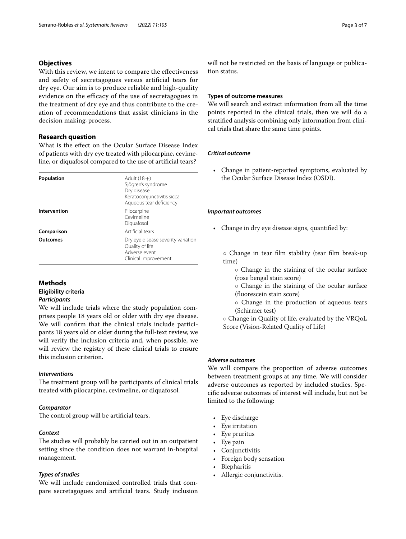## **Objectives**

With this review, we intent to compare the effectiveness and safety of secretagogues versus artifcial tears for dry eye. Our aim is to produce reliable and high-quality evidence on the efficacy of the use of secretagogues in the treatment of dry eye and thus contribute to the creation of recommendations that assist clinicians in the decision making-process.

## **Research question**

What is the efect on the Ocular Surface Disease Index of patients with dry eye treated with pilocarpine, cevimeline, or diquafosol compared to the use of artifcial tears?

| Population      | Adult $(18+)$<br>Sjögren's syndrome<br>Dry disease<br>Keratoconjunctivitis sicca<br>Aqueous tear deficiency |
|-----------------|-------------------------------------------------------------------------------------------------------------|
| Intervention    | Pilocarpine<br>Cevimeline<br>Diguafosol                                                                     |
| Comparison      | Artificial tears                                                                                            |
| <b>Outcomes</b> | Dry eye disease severity variation<br>Quality of life<br>Adverse event<br>Clinical Improvement              |

## **Methods Eligibility criteria** *Participants*

We will include trials where the study population comprises people 18 years old or older with dry eye disease. We will confrm that the clinical trials include participants 18 years old or older during the full-text review, we will verify the inclusion criteria and, when possible, we will review the registry of these clinical trials to ensure this inclusion criterion.

## *Interventions*

The treatment group will be participants of clinical trials treated with pilocarpine, cevimeline, or diquafosol.

## *Comparator*

The control group will be artificial tears.

## *Context*

The studies will probably be carried out in an outpatient setting since the condition does not warrant in-hospital management.

## *Types of studies*

We will include randomized controlled trials that compare secretagogues and artifcial tears. Study inclusion will not be restricted on the basis of language or publication status.

## **Types of outcome measures**

We will search and extract information from all the time points reported in the clinical trials, then we will do a stratifed analysis combining only information from clinical trials that share the same time points.

## *Critical outcome*

• Change in patient-reported symptoms, evaluated by the Ocular Surface Disease Index (OSDI).

## *Important outcomes*

• Change in dry eye disease signs, quantifed by:

◦ Change in tear flm stability (tear flm break-up time)

- Change in the staining of the ocular surface (rose bengal stain score)
- Change in the staining of the ocular surface (fuorescein stain score)
- Change in the production of aqueous tears (Schirmer test)
- Change in Quality of life, evaluated by the VRQoL Score (Vision-Related Quality of Life)

## *Adverse outcomes*

We will compare the proportion of adverse outcomes between treatment groups at any time. We will consider adverse outcomes as reported by included studies. Specifc adverse outcomes of interest will include, but not be limited to the following:

- Eye discharge
- Eye irritation
- Eye pruritus
- Eye pain
- **Conjunctivitis**
- Foreign body sensation
- Blepharitis
- Allergic conjunctivitis.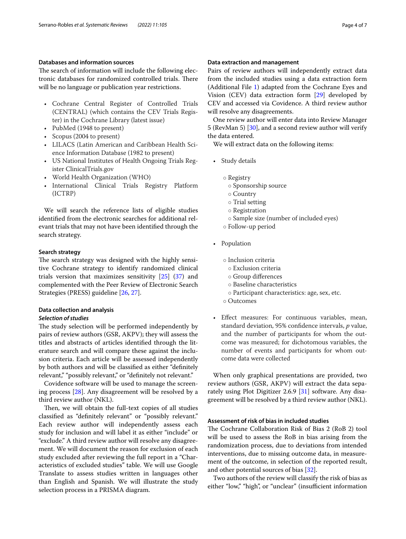## **Databases and information sources**

The search of information will include the following electronic databases for randomized controlled trials. There will be no language or publication year restrictions.

- Cochrane Central Register of Controlled Trials (CENTRAL) (which contains the CEV Trials Register) in the Cochrane Library (latest issue)
- PubMed (1948 to present)
- Scopus (2004 to present)
- LILACS (Latin American and Caribbean Health Science Information Database (1982 to present)
- US National Institutes of Health Ongoing Trials Register ClinicalTrials.gov
- World Health Organization (WHO)
- International Clinical Trials Registry Platform (ICTRP)

We will search the reference lists of eligible studies identifed from the electronic searches for additional relevant trials that may not have been identifed through the search strategy.

## **Search strategy**

The search strategy was designed with the highly sensitive Cochrane strategy to identify randomized clinical trials version that maximizes sensitivity  $[25]$  $[25]$   $(37)$  $(37)$  and complemented with the Peer Review of Electronic Search Strategies (PRESS) guideline [[26,](#page-6-23) [27](#page-6-24)].

## **Data collection and analysis**

#### *Selection of studies*

The study selection will be performed independently by pairs of review authors (GSR, AKPV); they will assess the titles and abstracts of articles identifed through the literature search and will compare these against the inclusion criteria. Each article will be assessed independently by both authors and will be classifed as either "defnitely relevant," "possibly relevant," or "defnitely not relevant."

Covidence software will be used to manage the screening process [\[28](#page-6-25)]. Any disagreement will be resolved by a third review author (NKL).

Then, we will obtain the full-text copies of all studies classifed as "defnitely relevant" or "possibly relevant." Each review author will independently assess each study for inclusion and will label it as either "include" or "exclude." A third review author will resolve any disagreement. We will document the reason for exclusion of each study excluded after reviewing the full report in a "Characteristics of excluded studies" table. We will use Google Translate to assess studies written in languages other than English and Spanish. We will illustrate the study selection process in a PRISMA diagram.

#### **Data extraction and management**

Pairs of review authors will independently extract data from the included studies using a data extraction form (Additional File [1](#page-5-1)) adapted from the Cochrane Eyes and Vision (CEV) data extraction form [\[29\]](#page-6-26) developed by CEV and accessed via Covidence. A third review author will resolve any disagreements.

One review author will enter data into Review Manager 5 (RevMan 5) [[30\]](#page-6-27), and a second review author will verify the data entered.

We will extract data on the following items:

- Study details
	- Registry
		- Sponsorship source
		- Country
		- Trial setting
		- Registration
		- Sample size (number of included eyes)
	- Follow-up period
- Population
	- Inclusion criteria
	- Exclusion criteria
	- Group diferences
	- Baseline characteristics
	- Participant characteristics: age, sex, etc.
	- Outcomes
- Efect measures: For continuous variables, mean, standard deviation, 95% confdence intervals, *p* value, and the number of participants for whom the outcome was measured; for dichotomous variables, the number of events and participants for whom outcome data were collected

When only graphical presentations are provided, two review authors (GSR, AKPV) will extract the data separately using Plot Digitizer 2.6.9 [\[31](#page-6-28)] software. Any disagreement will be resolved by a third review author (NKL).

## **Assessment of risk of bias in included studies**

The Cochrane Collaboration Risk of Bias 2 (RoB 2) tool will be used to assess the RoB in bias arising from the randomization process, due to deviations from intended interventions, due to missing outcome data, in measurement of the outcome, in selection of the reported result, and other potential sources of bias [\[32](#page-6-29)].

Two authors of the review will classify the risk of bias as either "low," "high", or "unclear" (insufficient information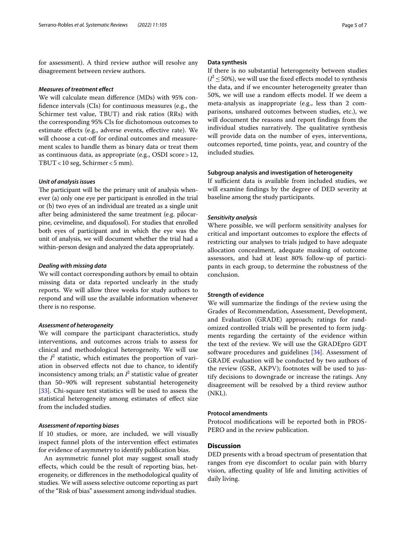for assessment). A third review author will resolve any disagreement between review authors.

#### *Measures of treatment efect*

We will calculate mean diference (MDs) with 95% confdence intervals (CIs) for continuous measures (e.g., the Schirmer test value, TBUT) and risk ratios (RRs) with the corresponding 95% CIs for dichotomous outcomes to estimate efects (e.g., adverse events, efective rate). We will choose a cut-off for ordinal outcomes and measurement scales to handle them as binary data or treat them as continuous data, as appropriate (e.g., OSDI score>12, TBUT<10 seg, Schirmer<5 mm).

## *Unit of analysis issues*

The participant will be the primary unit of analysis whenever (a) only one eye per participant is enrolled in the trial or (b) two eyes of an individual are treated as a single unit after being administered the same treatment (e.g. pilocarpine, cevimeline, and diquafosol). For studies that enrolled both eyes of participant and in which the eye was the unit of analysis, we will document whether the trial had a within-person design and analyzed the data appropriately.

#### *Dealing with missing data*

We will contact corresponding authors by email to obtain missing data or data reported unclearly in the study reports. We will allow three weeks for study authors to respond and will use the available information whenever there is no response.

#### *Assessment of heterogeneity*

We will compare the participant characteristics, study interventions, and outcomes across trials to assess for clinical and methodological heterogeneity. We will use the  $I^2$  statistic, which estimates the proportion of variation in observed efects not due to chance, to identify inconsistency among trials; an  $I^2$  statistic value of greater than 50–90% will represent substantial heterogeneity [[33\]](#page-6-30). Chi-square test statistics will be used to assess the statistical heterogeneity among estimates of efect size from the included studies.

#### *Assessment of reporting biases*

If 10 studies, or more, are included, we will visually inspect funnel plots of the intervention efect estimates for evidence of asymmetry to identify publication bias.

An asymmetric funnel plot may suggest small study efects, which could be the result of reporting bias, heterogeneity, or diferences in the methodological quality of studies. We will assess selective outcome reporting as part of the "Risk of bias" assessment among individual studies.

#### **Data synthesis**

If there is no substantial heterogeneity between studies  $(I^2 \le 50\%)$ , we will use the fixed effects model to synthesis the data, and if we encounter heterogeneity greater than 50%, we will use a random efects model. If we deem a meta-analysis as inappropriate (e.g., less than 2 comparisons, unshared outcomes between studies, etc.), we will document the reasons and report fndings from the individual studies narratively. The qualitative synthesis will provide data on the number of eyes, interventions, outcomes reported, time points, year, and country of the included studies.

#### **Subgroup analysis and investigation of heterogeneity**

If sufficient data is available from included studies, we will examine fndings by the degree of DED severity at baseline among the study participants.

#### *Sensitivity analysis*

Where possible, we will perform sensitivity analyses for critical and important outcomes to explore the efects of restricting our analyses to trials judged to have adequate allocation concealment, adequate masking of outcome assessors, and had at least 80% follow-up of participants in each group, to determine the robustness of the conclusion.

#### **Strength of evidence**

We will summarize the fndings of the review using the Grades of Recommendation, Assessment, Development, and Evaluation (GRADE) approach; ratings for randomized controlled trials will be presented to form judgments regarding the certainty of the evidence within the text of the review. We will use the GRADEpro GDT software procedures and guidelines [[34\]](#page-6-31). Assessment of GRADE evaluation will be conducted by two authors of the review (GSR, AKPV); footnotes will be used to justify decisions to downgrade or increase the ratings. Any disagreement will be resolved by a third review author (NKL).

## **Protocol amendments**

Protocol modifcations will be reported both in PROS-PERO and in the review publication.

## **Discussion**

DED presents with a broad spectrum of presentation that ranges from eye discomfort to ocular pain with blurry vision, afecting quality of life and limiting activities of daily living.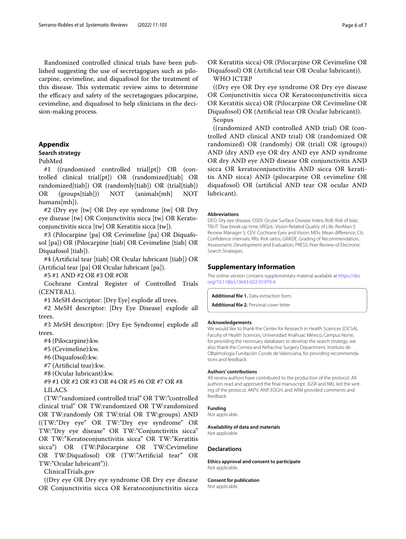Randomized controlled clinical trials have been published suggesting the use of secretagogues such as pilocarpine, cevimeline, and diquafosol for the treatment of this disease. This systematic review aims to determine the efficacy and safety of the secretagogues pilocarpine, cevimeline, and diquafosol to help clinicians in the decision-making process.

## <span id="page-5-0"></span>**Appendix**

## **Search strategy**

## PubMed

#1 ((randomized controlled trial[pt]) OR (controlled clinical trial[pt]) OR (randomized[tiab] OR randomized[tiab]) OR (randomly[tiab]) OR (trial[tiab]) OR (groups[tiab])) NOT (animals[mh] NOT humans[mh]).

#2 (Dry eye [tw] OR Dry eye syndrome [tw] OR Dry eye disease [tw] OR Conjunctivitis sicca [tw] OR Keratoconjunctivitis sicca [tw] OR Keratitis sicca [tw]).

#3 (Pilocarpine [pa] OR Cevimeline [pa] OR Diquafosol [pa]) OR (Pilocarpine [tiab] OR Cevimeline [tiab] OR Diquafosol [tiab]).

#4 (Artifcial tear [tiab] OR Ocular lubricant [tiab]) OR (Artifcial tear [pa] OR Ocular lubricant [pa]).

#5 #1 AND #2 OR #3 OR #OR

Cochrane Central Register of Controlled Trials (CENTRAL).

#1 MeSH descriptor: [Dry Eye] explode all trees.

#2 MeSH descriptor: [Dry Eye Disease] explode all trees.

#3 MeSH descriptor: [Dry Eye Syndrome] explode all trees.

#4 (Pilocarpine):kw.

#5 (Cevimeline):kw.

#6 (Diquafosol):kw.

#7 (Artifcial tear):kw.

#8 (Ocular lubricant):kw.

#9 #1 OR #2 OR #3 OR #4 OR #5 #6 OR #7 OR #8 LILACS

(TW:"randomized controlled trial" OR TW:"controlled clinical trial" OR TW:randomized OR TW:randomized OR TW:randomly OR TW:trial OR TW:groups) AND ((TW:"Dry eye" OR TW:"Dry eye syndrome" OR TW:"Dry eye disease" OR TW:"Conjunctivitis sicca" OR TW:"Keratoconjunctivitis sicca" OR TW:"Keratitis sicca") OR (TW:Pilocarpine OR TW:Cevimeline OR TW:Diquafosol) OR (TW:"Artifcial tear" OR TW:"Ocular lubricant")).

ClinicalTrials.gov

((Dry eye OR Dry eye syndrome OR Dry eye disease OR Conjunctivitis sicca OR Keratoconjunctivitis sicca OR Keratitis sicca) OR (Pilocarpine OR Cevimeline OR Diquafosol) OR (Artifcial tear OR Ocular lubricant)). WHO ICTRP

((Dry eye OR Dry eye syndrome OR Dry eye disease OR Conjunctivitis sicca OR Keratoconjunctivitis sicca OR Keratitis sicca) OR (Pilocarpine OR Cevimeline OR Diquafosol) OR (Artifcial tear OR Ocular lubricant)). Scopus

((randomized AND controlled AND trial) OR (controlled AND clinical AND trial) OR (randomized OR randomized) OR (randomly) OR (trial) OR (groups)) AND (dry AND eye OR dry AND eye AND syndrome OR dry AND eye AND disease OR conjunctivitis AND sicca OR keratoconjunctivitis AND sicca OR keratitis AND sicca) AND (pilocarpine OR cevimeline OR diquafosol) OR (artifcial AND tear OR ocular AND lubricant).

#### **Abbreviations**

DED: Dry eye disease; OSDI: Ocular Surface Disease Index; RoB: Risk of bias; TBUT: Tear break-up time; VRQoL: Vision-Related Quality of Life; RevMan 5: Review Manager 5; CEV: Cochrane Eyes and Vision; MDs: Mean diference; CIs: Confdence intervals; RRs: Risk ratios; GRADE: Grading of Recommendation, Assessment, Development and Evaluation; PRESS: Peer Review of Electronic Search Strategies.

## **Supplementary Information**

The online version contains supplementary material available at [https://doi.](https://doi.org/10.1186/s13643-022-01979-4) [org/10.1186/s13643-022-01979-4](https://doi.org/10.1186/s13643-022-01979-4).

<span id="page-5-1"></span>**Additional fle 1.** Data extraction form.

**Additional fle 2.** Personal cover letter

#### **Acknowledgements**

We would like to thank the Center for Research in Health Sciences (CICSA), Faculty of Health Sciences, Universidad Anáhuac México, Campus Norte, for providing the necessary databases to develop the search strategy; we also thank the Cornea and Refractive Surgery Department, Instituto de Oftalmología Fundación Conde de Valenciana, for providing recommendations and feedback.

#### **Authors' contributions**

All review authors have contributed to the production of the protocol. All authors read and approved the final manuscript. JGSR and NKL led the writing of the protocol, AKPV, ANP, EOGH, and ARM provided comments and feedback.

## **Funding**

Not applicable.

**Availability of data and materials** Not applicable.

#### **Declarations**

**Ethics approval and consent to participate** Not applicable.

#### **Consent for publication**

Not applicable.